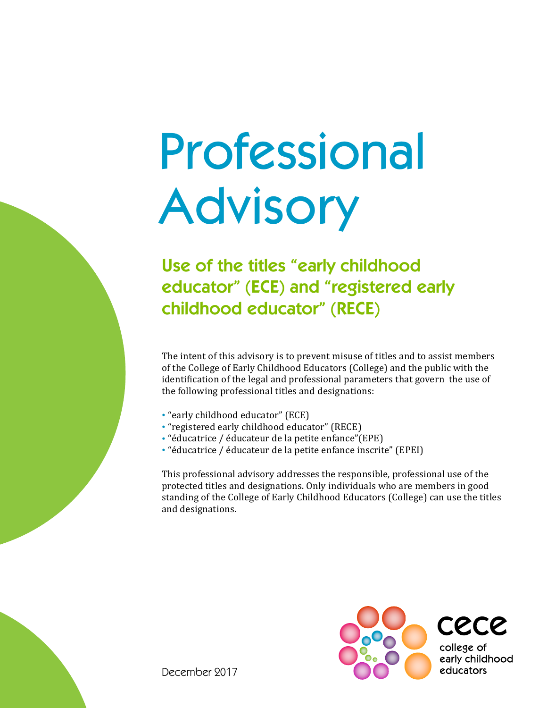## Professional Advisory

## Use of the titles "early childhood educator" (ECE) and "registered early childhood educator" (RECE)

The intent of this advisory is to prevent misuse of titles and to assist members of the College of Early Childhood Educators (College) and the public with the identification of the legal and professional parameters that govern the use of the following professional titles and designations:

- "early childhood educator" (ECE)
- "registered early childhood educator" (RECE)
- "éducatrice / éducateur de la petite enfance"(EPE)
- "éducatrice / éducateur de la petite enfance inscrite" (EPEI)

This professional advisory addresses the responsible, professional use of the protected titles and designations. Only individuals who are members in good standing of the College of Early Childhood Educators (College) can use the titles and designations.



December 2017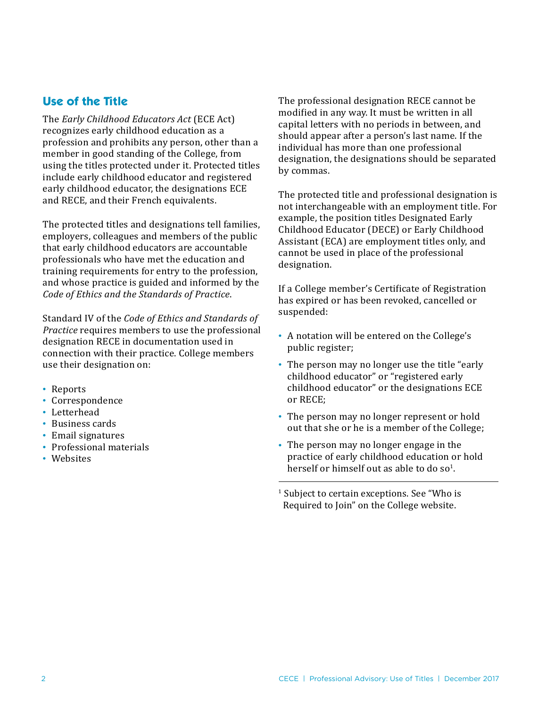## **Use of the Title**

The *Early Childhood Educators Act* (ECE Act) recognizes early childhood education as a profession and prohibits any person, other than a member in good standing of the College, from using the titles protected under it. Protected titles include early childhood educator and registered early childhood educator, the designations ECE and RECE, and their French equivalents.

The protected titles and designations tell families, employers, colleagues and members of the public that early childhood educators are accountable professionals who have met the education and training requirements for entry to the profession, and whose practice is guided and informed by the *Code of Ethics and the Standards of Practice*.

Standard IV of the *Code of Ethics and Standards of Practice* requires members to use the professional designation RECE in documentation used in connection with their practice. College members use their designation on:

- Reports
- Correspondence
- Letterhead
- Business cards
- Email signatures
- Professional materials
- Websites

The professional designation RECE cannot be modified in any way. It must be written in all capital letters with no periods in between, and should appear after a person's last name. If the individual has more than one professional designation, the designations should be separated by commas.

The protected title and professional designation is not interchangeable with an employment title. For example, the position titles Designated Early Childhood Educator (DECE) or Early Childhood Assistant (ECA) are employment titles only, and cannot be used in place of the professional designation.

If a College member's Certificate of Registration has expired or has been revoked, cancelled or suspended:

- A notation will be entered on the College's public register;
- The person may no longer use the title "early childhood educator" or "registered early childhood educator" or the designations ECE or RECE;
- The person may no longer represent or hold out that she or he is a member of the College;
- The person may no longer engage in the practice of early childhood education or hold herself or himself out as able to do so<sup>1</sup>.

<sup>1</sup> Subject to certain exceptions. See "Who is Required to Join" on the College website.